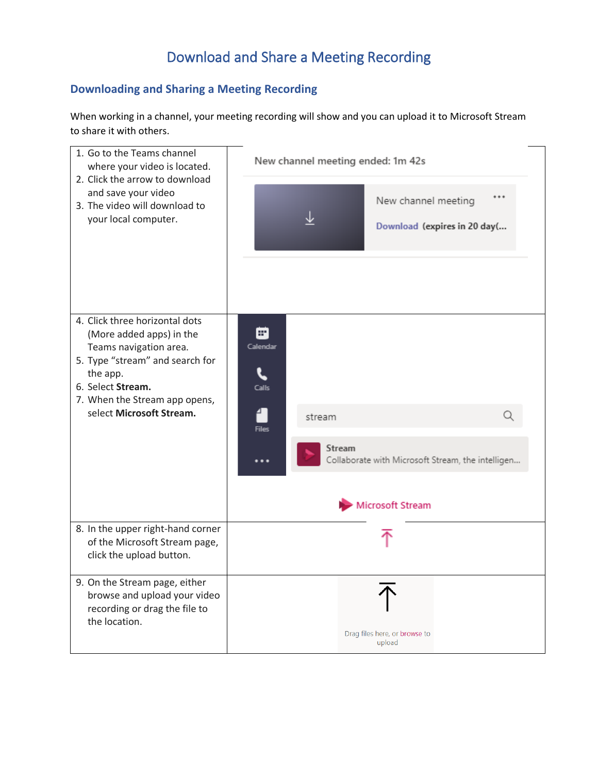## Download and Share a Meeting Recording

## **Downloading and Sharing a Meeting Recording**

When working in a channel, your meeting recording will show and you can upload it to Microsoft Stream to share it with others.

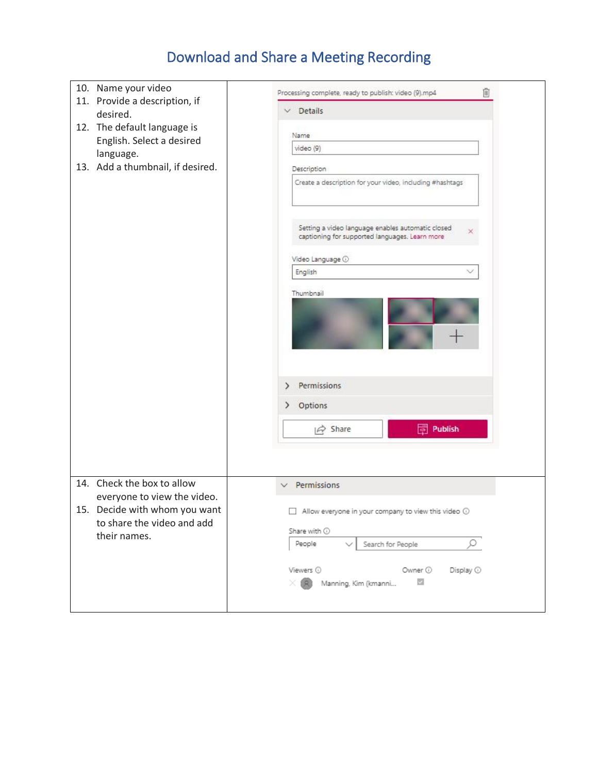## Download and Share a Meeting Recording

| 10. Name your video<br>11. Provide a description, if<br>desired.<br>12. The default language is<br>English. Select a desired<br>language.<br>13. Add a thumbnail, if desired. | 尙<br>Processing complete, ready to publish: video (9).mp4<br>$\vee$ Details<br>Name<br>video (9)<br><b>Description</b><br>Create a description for your video, including #hashtags<br>Setting a video language enables automatic closed<br>×<br>captioning for supported languages. Learn more<br>Video Language <sup>1</sup><br>English<br>Thumbnail<br>Permissions<br>⋋<br>Options<br>≻<br>Publish<br>$\overrightarrow{P}$ Share |
|-------------------------------------------------------------------------------------------------------------------------------------------------------------------------------|------------------------------------------------------------------------------------------------------------------------------------------------------------------------------------------------------------------------------------------------------------------------------------------------------------------------------------------------------------------------------------------------------------------------------------|
| 14. Check the box to allow<br>everyone to view the video.<br>15. Decide with whom you want<br>to share the video and add<br>their names.                                      | Permissions<br>$\Box$ Allow everyone in your company to view this video $\odot$<br>Share with $\odot$<br>People<br>Search for People<br>Viewers $\odot$<br>Owner ①<br>Display $\odot$<br>$\checkmark$<br>Manning, Kim (kmanni                                                                                                                                                                                                      |